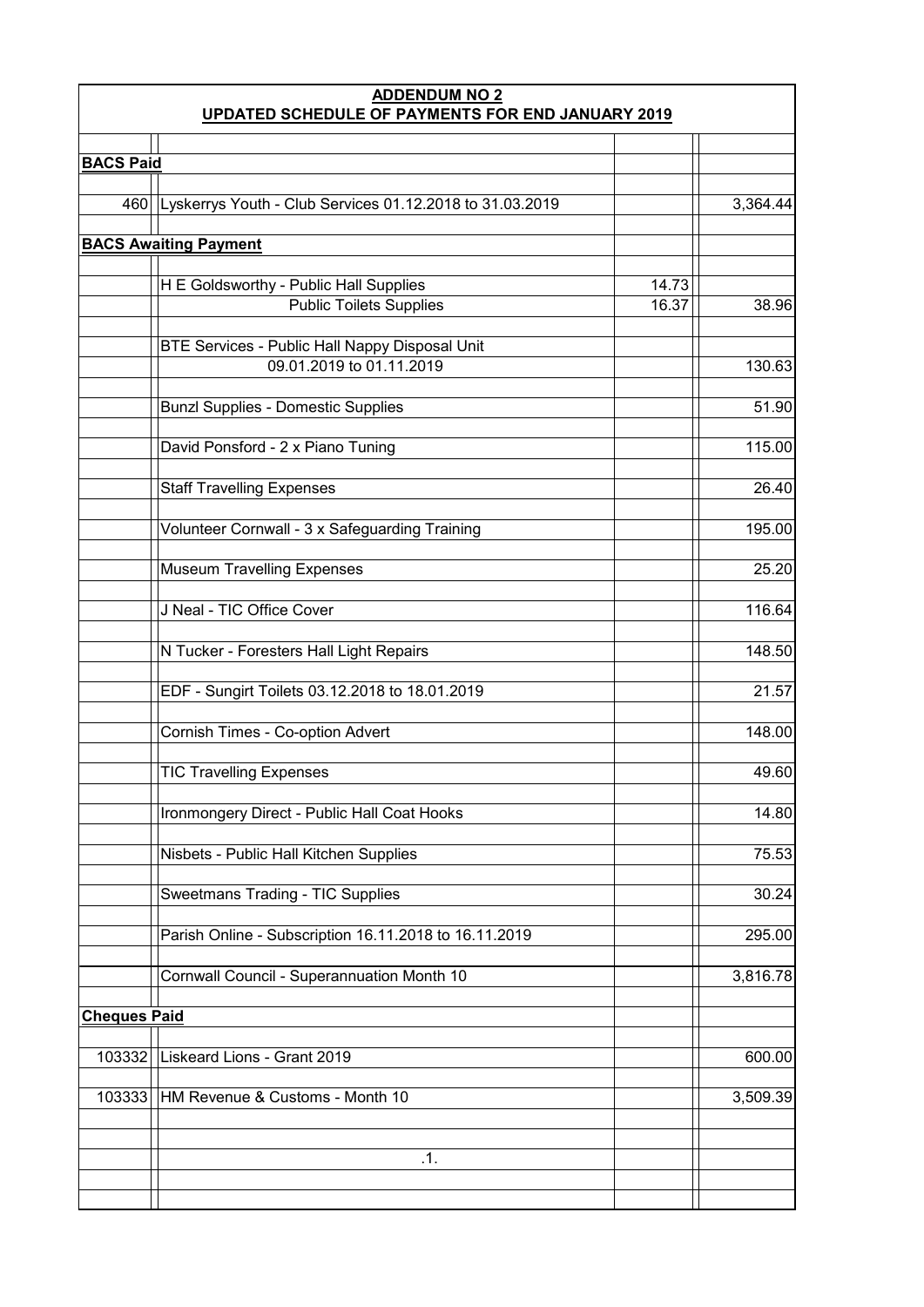| <b>ADDENDUM NO 2</b><br>UPDATED SCHEDULE OF PAYMENTS FOR END JANUARY 2019 |                                                                            |       |          |  |  |
|---------------------------------------------------------------------------|----------------------------------------------------------------------------|-------|----------|--|--|
|                                                                           |                                                                            |       |          |  |  |
| <b>BACS Paid</b>                                                          |                                                                            |       |          |  |  |
| 460                                                                       | Lyskerrys Youth - Club Services 01.12.2018 to 31.03.2019                   |       | 3,364.44 |  |  |
|                                                                           | <b>BACS Awaiting Payment</b>                                               |       |          |  |  |
|                                                                           |                                                                            |       |          |  |  |
|                                                                           | H E Goldsworthy - Public Hall Supplies                                     | 14.73 |          |  |  |
|                                                                           | <b>Public Toilets Supplies</b>                                             | 16.37 | 38.96    |  |  |
|                                                                           |                                                                            |       |          |  |  |
|                                                                           | BTE Services - Public Hall Nappy Disposal Unit<br>09.01.2019 to 01.11.2019 |       | 130.63   |  |  |
|                                                                           |                                                                            |       |          |  |  |
|                                                                           | <b>Bunzl Supplies - Domestic Supplies</b>                                  |       | 51.90    |  |  |
|                                                                           | David Ponsford - 2 x Piano Tuning                                          |       | 115.00   |  |  |
|                                                                           | <b>Staff Travelling Expenses</b>                                           |       | 26.40    |  |  |
|                                                                           | Volunteer Cornwall - 3 x Safeguarding Training                             |       | 195.00   |  |  |
|                                                                           |                                                                            |       |          |  |  |
|                                                                           | <b>Museum Travelling Expenses</b>                                          |       | 25.20    |  |  |
|                                                                           | J Neal - TIC Office Cover                                                  |       | 116.64   |  |  |
|                                                                           | N Tucker - Foresters Hall Light Repairs                                    |       | 148.50   |  |  |
|                                                                           | EDF - Sungirt Toilets 03.12.2018 to 18.01.2019                             |       | 21.57    |  |  |
|                                                                           | Cornish Times - Co-option Advert                                           |       | 148.00   |  |  |
|                                                                           | <b>TIC Travelling Expenses</b>                                             |       | 49.60    |  |  |
|                                                                           | Ironmongery Direct - Public Hall Coat Hooks                                |       | 14.80    |  |  |
|                                                                           | Nisbets - Public Hall Kitchen Supplies                                     |       | 75.53    |  |  |
|                                                                           | Sweetmans Trading - TIC Supplies                                           |       | 30.24    |  |  |
|                                                                           | Parish Online - Subscription 16.11.2018 to 16.11.2019                      |       | 295.00   |  |  |
|                                                                           | Cornwall Council - Superannuation Month 10                                 |       | 3,816.78 |  |  |
| <b>Cheques Paid</b>                                                       |                                                                            |       |          |  |  |
| 103332                                                                    | Liskeard Lions - Grant 2019                                                |       | 600.00   |  |  |
| 103333                                                                    | HM Revenue & Customs - Month 10                                            |       | 3,509.39 |  |  |
|                                                                           |                                                                            |       |          |  |  |
|                                                                           | .1.                                                                        |       |          |  |  |
|                                                                           |                                                                            |       |          |  |  |
|                                                                           |                                                                            |       |          |  |  |